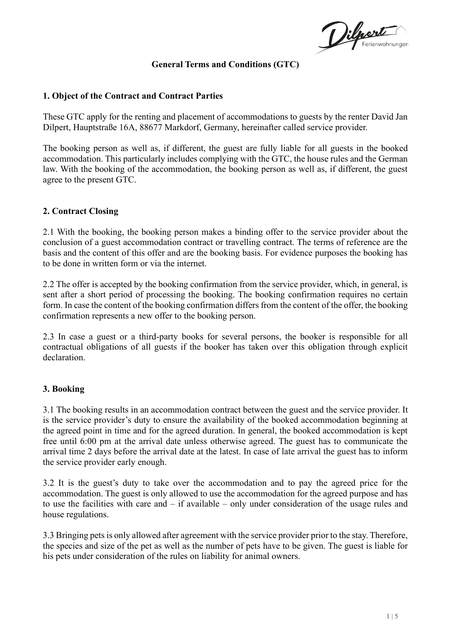Dilport

# **General Terms and Conditions (GTC)**

## **1. Object of the Contract and Contract Parties**

These GTC apply for the renting and placement of accommodations to guests by the renter David Jan Dilpert, Hauptstraße 16A, 88677 Markdorf, Germany, hereinafter called service provider.

The booking person as well as, if different, the guest are fully liable for all guests in the booked accommodation. This particularly includes complying with the GTC, the house rules and the German law. With the booking of the accommodation, the booking person as well as, if different, the guest agree to the present GTC.

## **2. Contract Closing**

2.1 With the booking, the booking person makes a binding offer to the service provider about the conclusion of a guest accommodation contract or travelling contract. The terms of reference are the basis and the content of this offer and are the booking basis. For evidence purposes the booking has to be done in written form or via the internet.

2.2 The offer is accepted by the booking confirmation from the service provider, which, in general, is sent after a short period of processing the booking. The booking confirmation requires no certain form. In case the content of the booking confirmation differs from the content of the offer, the booking confirmation represents a new offer to the booking person.

2.3 In case a guest or a third-party books for several persons, the booker is responsible for all contractual obligations of all guests if the booker has taken over this obligation through explicit declaration.

#### **3. Booking**

3.1 The booking results in an accommodation contract between the guest and the service provider. It is the service provider's duty to ensure the availability of the booked accommodation beginning at the agreed point in time and for the agreed duration. In general, the booked accommodation is kept free until 6:00 pm at the arrival date unless otherwise agreed. The guest has to communicate the arrival time 2 days before the arrival date at the latest. In case of late arrival the guest has to inform the service provider early enough.

3.2 It is the guest's duty to take over the accommodation and to pay the agreed price for the accommodation. The guest is only allowed to use the accommodation for the agreed purpose and has to use the facilities with care and – if available – only under consideration of the usage rules and house regulations.

3.3 Bringing pets is only allowed after agreement with the service provider prior to the stay. Therefore, the species and size of the pet as well as the number of pets have to be given. The guest is liable for his pets under consideration of the rules on liability for animal owners.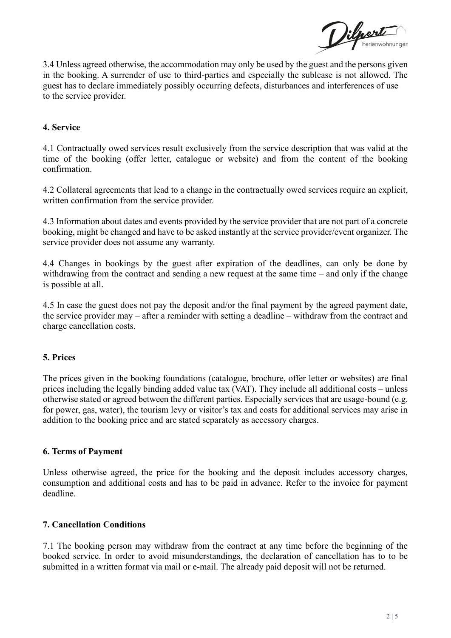

3.4 Unless agreed otherwise, the accommodation may only be used by the guest and the persons given in the booking. A surrender of use to third-parties and especially the sublease is not allowed. The guest has to declare immediately possibly occurring defects, disturbances and interferences of use to the service provider.

# **4. Service**

4.1 Contractually owed services result exclusively from the service description that was valid at the time of the booking (offer letter, catalogue or website) and from the content of the booking confirmation.

4.2 Collateral agreements that lead to a change in the contractually owed services require an explicit, written confirmation from the service provider.

4.3 Information about dates and events provided by the service provider that are not part of a concrete booking, might be changed and have to be asked instantly at the service provider/event organizer. The service provider does not assume any warranty.

4.4 Changes in bookings by the guest after expiration of the deadlines, can only be done by withdrawing from the contract and sending a new request at the same time – and only if the change is possible at all.

4.5 In case the guest does not pay the deposit and/or the final payment by the agreed payment date, the service provider may – after a reminder with setting a deadline – withdraw from the contract and charge cancellation costs.

#### **5. Prices**

The prices given in the booking foundations (catalogue, brochure, offer letter or websites) are final prices including the legally binding added value tax (VAT). They include all additional costs – unless otherwise stated or agreed between the different parties. Especially services that are usage-bound (e.g. for power, gas, water), the tourism levy or visitor's tax and costs for additional services may arise in addition to the booking price and are stated separately as accessory charges.

#### **6. Terms of Payment**

Unless otherwise agreed, the price for the booking and the deposit includes accessory charges, consumption and additional costs and has to be paid in advance. Refer to the invoice for payment deadline.

#### **7. Cancellation Conditions**

7.1 The booking person may withdraw from the contract at any time before the beginning of the booked service. In order to avoid misunderstandings, the declaration of cancellation has to to be submitted in a written format via mail or e-mail. The already paid deposit will not be returned.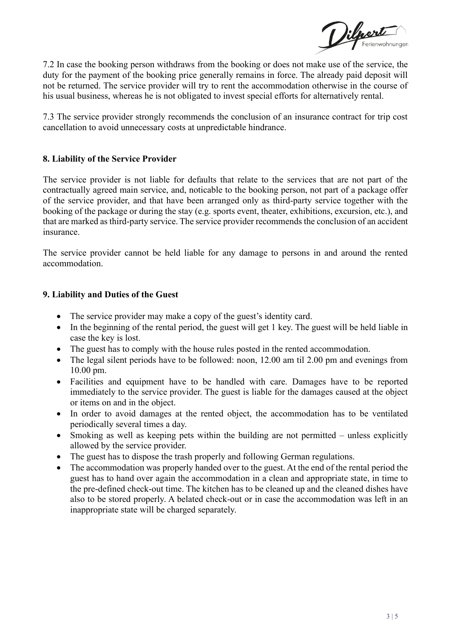Dilperte

7.2 In case the booking person withdraws from the booking or does not make use of the service, the duty for the payment of the booking price generally remains in force. The already paid deposit will not be returned. The service provider will try to rent the accommodation otherwise in the course of his usual business, whereas he is not obligated to invest special efforts for alternatively rental.

7.3 The service provider strongly recommends the conclusion of an insurance contract for trip cost cancellation to avoid unnecessary costs at unpredictable hindrance.

## **8. Liability of the Service Provider**

The service provider is not liable for defaults that relate to the services that are not part of the contractually agreed main service, and, noticable to the booking person, not part of a package offer of the service provider, and that have been arranged only as third-party service together with the booking of the package or during the stay (e.g. sports event, theater, exhibitions, excursion, etc.), and that are marked as third-party service. The service provider recommends the conclusion of an accident insurance.

The service provider cannot be held liable for any damage to persons in and around the rented accommodation.

#### **9. Liability and Duties of the Guest**

- The service provider may make a copy of the guest's identity card.
- In the beginning of the rental period, the guest will get 1 key. The guest will be held liable in case the key is lost.
- The guest has to comply with the house rules posted in the rented accommodation.
- The legal silent periods have to be followed: noon, 12.00 am til 2.00 pm and evenings from 10.00 pm.
- Facilities and equipment have to be handled with care. Damages have to be reported immediately to the service provider. The guest is liable for the damages caused at the object or items on and in the object.
- In order to avoid damages at the rented object, the accommodation has to be ventilated periodically several times a day.
- Smoking as well as keeping pets within the building are not permitted unless explicitly allowed by the service provider.
- The guest has to dispose the trash properly and following German regulations.
- The accommodation was properly handed over to the guest. At the end of the rental period the guest has to hand over again the accommodation in a clean and appropriate state, in time to the pre-defined check-out time. The kitchen has to be cleaned up and the cleaned dishes have also to be stored properly. A belated check-out or in case the accommodation was left in an inappropriate state will be charged separately.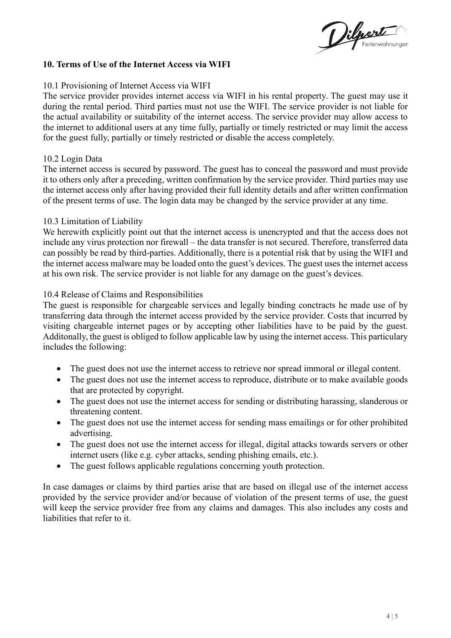Dilport

#### **10. Terms of Use of the Internet Access via WIFI**

#### 10.1 Provisioning of Internet Access via WIFI

The service provider provides internet access via WIFI in his rental property. The guest may use it during the rental period. Third parties must not use the WIFI. The service provider is not liable for the actual availability or suitability of the internet access. The service provider may allow access to the internet to additional users at any time fully, partially or timely restricted or may limit the access for the guest fully, partially or timely restricted or disable the access completely.

#### 10.2 Login Data

The internet access is secured by password. The guest has to conceal the password and must provide it to others only after a preceding, written confirmation by the service provider. Third parties may use the internet access only after having provided their full identity details and after written confirmation of the present terms of use. The login data may be changed by the service provider at any time.

#### 10.3 Limitation of Liability

We herewith explicitly point out that the internet access is unencrypted and that the access does not include any virus protection nor firewall – the data transfer is not secured. Therefore, transferred data can possibly be read by third-parties. Additionally, there is a potential risk that by using the WIFI and the internet access malware may be loaded onto the guest's devices. The guest uses the internet access at his own risk. The service provider is not liable for any damage on the guest's devices.

#### 10.4 Release of Claims and Responsibilities

The guest is responsible for chargeable services and legally binding conctracts he made use of by transferring data through the internet access provided by the service provider. Costs that incurred by visiting chargeable internet pages or by accepting other liabilities have to be paid by the guest. Additonally, the guest is obliged to follow applicable law by using the internet access. This particulary includes the following:

- The guest does not use the internet access to retrieve nor spread immoral or illegal content.
- The guest does not use the internet access to reproduce, distribute or to make available goods that are protected by copyright.
- The guest does not use the internet access for sending or distributing harassing, slanderous or threatening content.
- The guest does not use the internet access for sending mass emailings or for other prohibited advertising.
- The guest does not use the internet access for illegal, digital attacks towards servers or other internet users (like e.g. cyber attacks, sending phishing emails, etc.).
- The guest follows applicable regulations concerning youth protection.

In case damages or claims by third parties arise that are based on illegal use of the internet access provided by the service provider and/or because of violation of the present terms of use, the guest will keep the service provider free from any claims and damages. This also includes any costs and liabilities that refer to it.